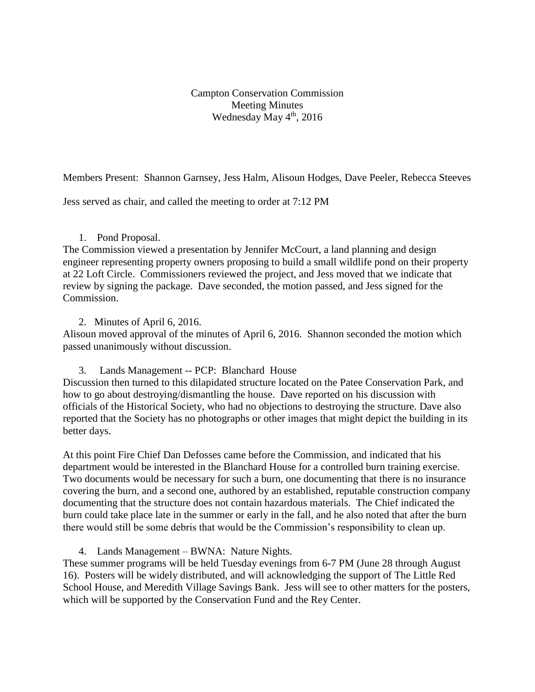Campton Conservation Commission Meeting Minutes Wednesday May 4<sup>th</sup>, 2016

Members Present: Shannon Garnsey, Jess Halm, Alisoun Hodges, Dave Peeler, Rebecca Steeves

Jess served as chair, and called the meeting to order at 7:12 PM

### 1. Pond Proposal.

The Commission viewed a presentation by Jennifer McCourt, a land planning and design engineer representing property owners proposing to build a small wildlife pond on their property at 22 Loft Circle. Commissioners reviewed the project, and Jess moved that we indicate that review by signing the package. Dave seconded, the motion passed, and Jess signed for the Commission.

### 2. Minutes of April 6, 2016.

Alisoun moved approval of the minutes of April 6, 2016. Shannon seconded the motion which passed unanimously without discussion.

3. Lands Management -- PCP: Blanchard House

Discussion then turned to this dilapidated structure located on the Patee Conservation Park, and how to go about destroying/dismantling the house. Dave reported on his discussion with officials of the Historical Society, who had no objections to destroying the structure. Dave also reported that the Society has no photographs or other images that might depict the building in its better days.

At this point Fire Chief Dan Defosses came before the Commission, and indicated that his department would be interested in the Blanchard House for a controlled burn training exercise. Two documents would be necessary for such a burn, one documenting that there is no insurance covering the burn, and a second one, authored by an established, reputable construction company documenting that the structure does not contain hazardous materials. The Chief indicated the burn could take place late in the summer or early in the fall, and he also noted that after the burn there would still be some debris that would be the Commission's responsibility to clean up.

4. Lands Management – BWNA: Nature Nights.

These summer programs will be held Tuesday evenings from 6-7 PM (June 28 through August 16). Posters will be widely distributed, and will acknowledging the support of The Little Red School House, and Meredith Village Savings Bank. Jess will see to other matters for the posters, which will be supported by the Conservation Fund and the Rey Center.